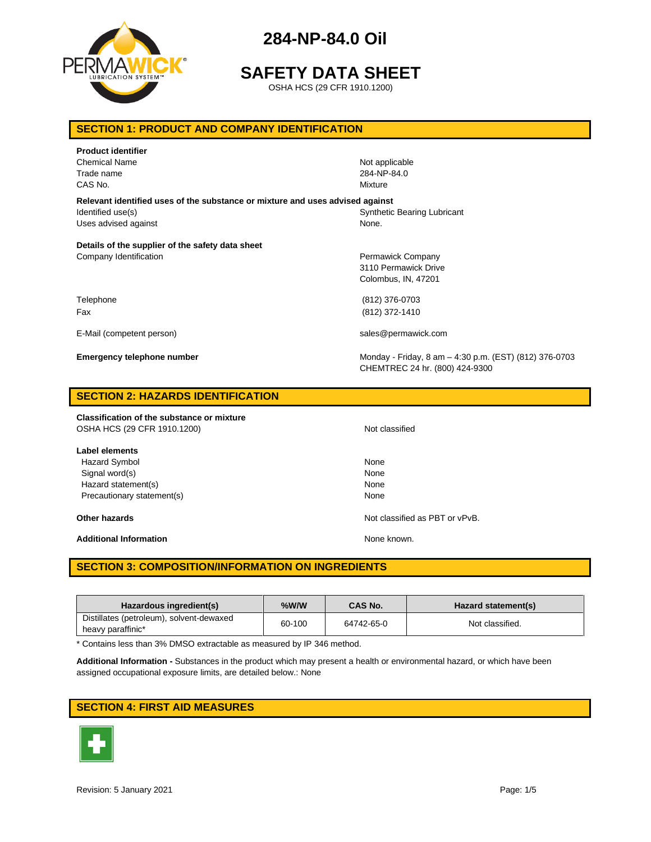

# **SAFETY DATA SHEET**

OSHA HCS (29 CFR 1910.1200)

## **SECTION 1: PRODUCT AND COMPANY IDENTIFICATION**

| <b>Product identifier</b><br><b>Chemical Name</b><br>Trade name<br>CAS No.                                                 | Not applicable<br>284-NP-84.0<br>Mixture                                                 |
|----------------------------------------------------------------------------------------------------------------------------|------------------------------------------------------------------------------------------|
| Relevant identified uses of the substance or mixture and uses advised against<br>Identified use(s)<br>Uses advised against | <b>Synthetic Bearing Lubricant</b><br>None.                                              |
| Details of the supplier of the safety data sheet<br>Company Identification                                                 | Permawick Company<br>3110 Permawick Drive<br>Colombus, IN, 47201                         |
| Telephone<br>Fax                                                                                                           | (812) 376-0703<br>(812) 372-1410                                                         |
| E-Mail (competent person)                                                                                                  | sales@permawick.com                                                                      |
| <b>Emergency telephone number</b>                                                                                          | Monday - Friday, 8 am - 4:30 p.m. (EST) (812) 376-0703<br>CHEMTREC 24 hr. (800) 424-9300 |
| <b>SECTION 2: HAZARDS IDENTIFICATION</b>                                                                                   |                                                                                          |

**Classification of the substance or mixture** OSHA HCS (29 CFR 1910.1200) Not classified

**Label elements** Hazard Symbol None Signal word(s) None Hazard statement(s) None

Additional Information **None known.** None known.

Precautionary statement(s) None

**Other hazards Other hazards Not classified as PBT or vPvB.** 

## **SECTION 3: COMPOSITION/INFORMATION ON INGREDIENTS**

| Hazardous ingredient(s)                                       | %W/W   | CAS No.    | Hazard statement(s) |
|---------------------------------------------------------------|--------|------------|---------------------|
| Distillates (petroleum), solvent-dewaxed<br>heavy paraffinic* | 60-100 | 64742-65-0 | Not classified.     |

\* Contains less than 3% DMSO extractable as measured by IP 346 method.

**Additional Information -** Substances in the product which may present a health or environmental hazard, or which have been assigned occupational exposure limits, are detailed below.: None

## **SECTION 4: FIRST AID MEASURES**

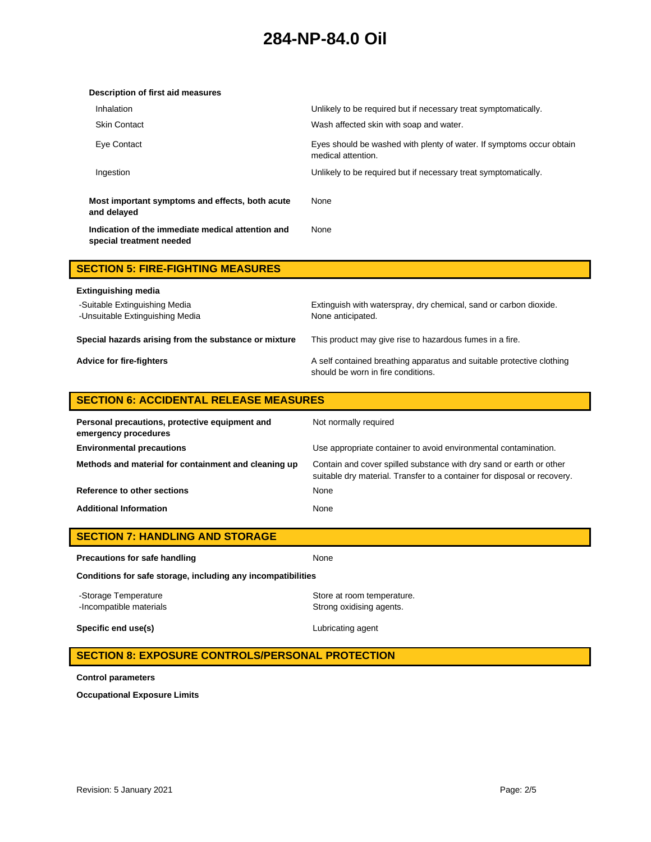| Description of first aid measures                                             |                                                                                            |
|-------------------------------------------------------------------------------|--------------------------------------------------------------------------------------------|
| Inhalation                                                                    | Unlikely to be required but if necessary treat symptomatically.                            |
| <b>Skin Contact</b>                                                           | Wash affected skin with soap and water.                                                    |
| Eve Contact                                                                   | Eyes should be washed with plenty of water. If symptoms occur obtain<br>medical attention. |
| Ingestion                                                                     | Unlikely to be required but if necessary treat symptomatically.                            |
| Most important symptoms and effects, both acute<br>and delayed                | None                                                                                       |
| Indication of the immediate medical attention and<br>special treatment needed | None                                                                                       |

| <b>SECTION 5: FIRE-FIGHTING MEASURES</b>                         |                                                                                                             |
|------------------------------------------------------------------|-------------------------------------------------------------------------------------------------------------|
| Extinguishing media                                              |                                                                                                             |
| -Suitable Extinguishing Media<br>-Unsuitable Extinguishing Media | Extinguish with waterspray, dry chemical, sand or carbon dioxide.<br>None anticipated.                      |
| Special hazards arising from the substance or mixture            | This product may give rise to hazardous fumes in a fire.                                                    |
| Advice for fire-fighters                                         | A self contained breathing apparatus and suitable protective clothing<br>should be worn in fire conditions. |

## **SECTION 6: ACCIDENTAL RELEASE MEASURES**

| Personal precautions, protective equipment and<br>emergency procedures | Not normally required                                                                                                                           |
|------------------------------------------------------------------------|-------------------------------------------------------------------------------------------------------------------------------------------------|
| <b>Environmental precautions</b>                                       | Use appropriate container to avoid environmental contamination.                                                                                 |
| Methods and material for containment and cleaning up                   | Contain and cover spilled substance with dry sand or earth or other<br>suitable dry material. Transfer to a container for disposal or recovery. |
| Reference to other sections                                            | None                                                                                                                                            |
| <b>Additional Information</b>                                          | None                                                                                                                                            |

| <b>SECTION 7: HANDLING AND STORAGE</b> |  |
|----------------------------------------|--|
|----------------------------------------|--|

| Precautions for safe handling                                | None                                                   |  |
|--------------------------------------------------------------|--------------------------------------------------------|--|
| Conditions for safe storage, including any incompatibilities |                                                        |  |
| -Storage Temperature<br>-Incompatible materials              | Store at room temperature.<br>Strong oxidising agents. |  |
| Specific end use(s)                                          | Lubricating agent                                      |  |

## **SECTION 8: EXPOSURE CONTROLS/PERSONAL PROTECTION**

**Control parameters**

**Occupational Exposure Limits**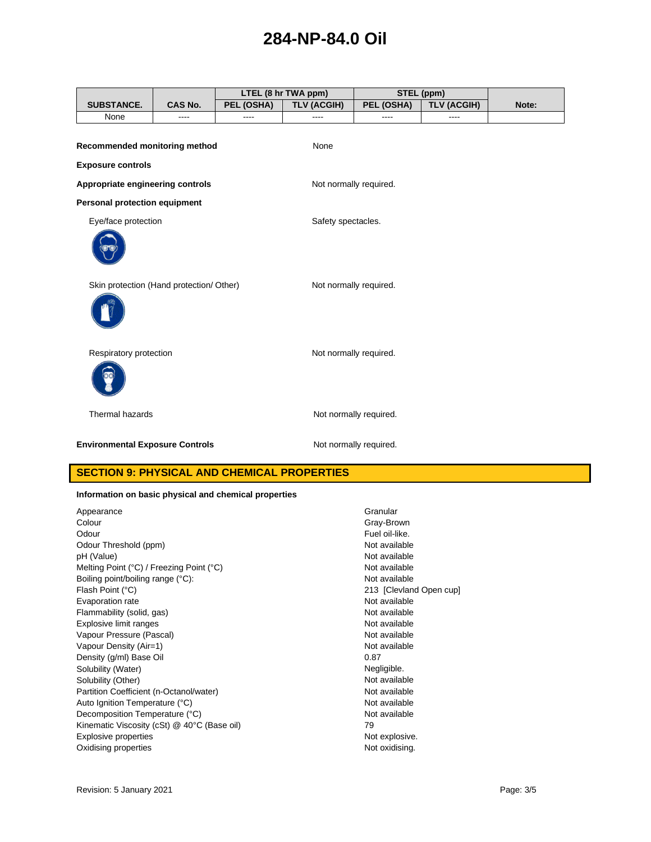|                                          |         |            | LTEL (8 hr TWA ppm)    |                        | STEL (ppm)         |       |
|------------------------------------------|---------|------------|------------------------|------------------------|--------------------|-------|
| <b>SUBSTANCE.</b>                        | CAS No. | PEL (OSHA) | <b>TLV (ACGIH)</b>     | PEL (OSHA)             | <b>TLV (ACGIH)</b> | Note: |
| None                                     | ----    | ----       | ----                   | ----                   | ----               |       |
| Recommended monitoring method            |         |            | None                   |                        |                    |       |
| <b>Exposure controls</b>                 |         |            |                        |                        |                    |       |
| Appropriate engineering controls         |         |            | Not normally required. |                        |                    |       |
| Personal protection equipment            |         |            |                        |                        |                    |       |
| Eye/face protection                      |         |            | Safety spectacles.     |                        |                    |       |
|                                          |         |            |                        |                        |                    |       |
| Skin protection (Hand protection/ Other) |         |            | Not normally required. |                        |                    |       |
| Respiratory protection                   |         |            | Not normally required. |                        |                    |       |
| Thermal hazards                          |         |            |                        | Not normally required. |                    |       |
| <b>Environmental Exposure Controls</b>   |         |            |                        | Not normally required. |                    |       |

## **SECTION 9: PHYSICAL AND CHEMICAL PROPERTIES**

### **Information on basic physical and chemical properties**

| Appearance                                       | Granular   |
|--------------------------------------------------|------------|
| Colour                                           | Gray-Bro   |
| Odour                                            | Fuel oil-l |
| Odour Threshold (ppm)                            | Not avail  |
| pH (Value)                                       | Not avail  |
| Melting Point (°C) / Freezing Point (°C)         | Not avail  |
| Boiling point/boiling range (°C):                | Not avail  |
| Flash Point (°C)                                 | 213 [Cle   |
| Evaporation rate                                 | Not avail  |
| Flammability (solid, gas)                        | Not avail  |
| Explosive limit ranges                           | Not avail  |
| Vapour Pressure (Pascal)                         | Not avail  |
| Vapour Density (Air=1)                           | Not avail  |
| Density (g/ml) Base Oil                          | 0.87       |
| Solubility (Water)                               | Negligibl  |
| Solubility (Other)                               | Not avail  |
| Partition Coefficient (n-Octanol/water)          | Not avail  |
| Auto Ignition Temperature (°C)                   | Not avail  |
| Decomposition Temperature (°C)                   | Not avail  |
| Kinematic Viscosity (cSt) $@$ 40 $°C$ (Base oil) | 79         |
| <b>Explosive properties</b>                      | Not explo  |
| Oxidising properties                             | Not oxidi  |

Gray-Brown Fuel oil-like. Not available Not available Not available Not available 213 [Clevland Open cup] Not available Not available Not available Not available Not available Negligible. Not available Not available Not available Not available<br>79 Not explosive. Not oxidising.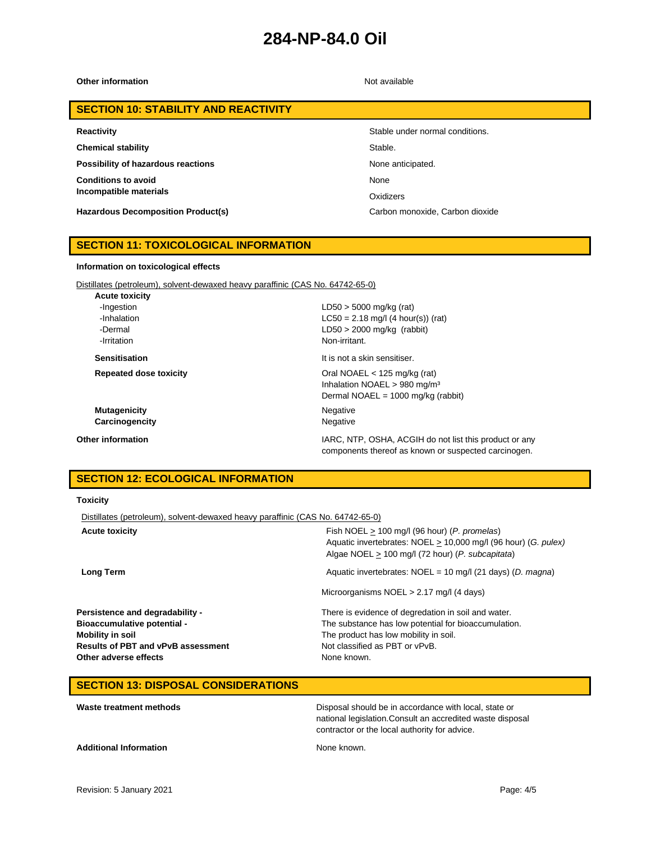### **Other information** Not available

## **SECTION 10: STABILITY AND REACTIVITY**

**Chemical stability** Stable.

**Possibility of hazardous reactions None anticipated.** None anticipated.

**Conditions to avoid Incompatible materials**

**Hazardous Decomposition Product(s)** Carbon monoxide, Carbon dioxide

#### **Reactivity Reactivity Reactivity Stable under normal conditions.**

None

**Oxidizers** 

components thereof as known or suspected carcinogen.

## **SECTION 11: TOXICOLOGICAL INFORMATION**

#### **Information on toxicological effects**

Distillates (petroleum), solvent-dewaxed heavy paraffinic (CAS No. 64742-65-0)

| <b>Acute toxicity</b>         |                                                                                                                            |
|-------------------------------|----------------------------------------------------------------------------------------------------------------------------|
| -Ingestion                    | $LD50 > 5000$ mg/kg (rat)                                                                                                  |
| -Inhalation                   | $LC50 = 2.18$ mg/l (4 hour(s)) (rat)                                                                                       |
| -Dermal                       | $LD50 > 2000$ mg/kg (rabbit)                                                                                               |
| -Irritation                   | Non-irritant.                                                                                                              |
| <b>Sensitisation</b>          | It is not a skin sensitiser.                                                                                               |
| <b>Repeated dose toxicity</b> | Oral NOAEL $<$ 125 mg/kg (rat)<br>Inhalation NOAEL > 980 mg/m <sup>3</sup><br>Dermal NOAEL = $1000 \text{ mg/kg}$ (rabbit) |
| <b>Mutagenicity</b>           | Negative                                                                                                                   |
| Carcinogencity                | Negative                                                                                                                   |
| <b>Other information</b>      | IARC, NTP, OSHA, ACGIH do not list this product or any                                                                     |

## **SECTION 12: ECOLOGICAL INFORMATION**

#### **Toxicity**

Distillates (petroleum), solvent-dewaxed heavy paraffinic (CAS No. 64742-65-0)

| <b>Acute toxicity</b>                     | Fish NOEL $> 100$ mg/l (96 hour) (P. promelas)<br>Aquatic invertebrates: NOEL > 10,000 mg/l (96 hour) (G. pulex)<br>Algae NOEL > 100 mg/l (72 hour) (P. subcapitata) |
|-------------------------------------------|----------------------------------------------------------------------------------------------------------------------------------------------------------------------|
| Long Term                                 | Aquatic invertebrates: NOEL = 10 mg/l (21 days) (D. magna)                                                                                                           |
|                                           | Microorganisms $NOEL > 2.17$ mg/l (4 days)                                                                                                                           |
| <b>Persistence and degradability -</b>    | There is evidence of degredation in soil and water.                                                                                                                  |
| <b>Bioaccumulative potential -</b>        | The substance has low potential for bioaccumulation.                                                                                                                 |
| Mobility in soil                          | The product has low mobility in soil.                                                                                                                                |
| <b>Results of PBT and vPvB assessment</b> | Not classified as PBT or vPvB.                                                                                                                                       |
| Other adverse effects                     | None known.                                                                                                                                                          |

### **SECTION 13: DISPOSAL CONSIDERATIONS**

| Waste treatment methods       | Disposal should be in accordance with local, state or<br>national legislation. Consult an accredited waste disposal<br>contractor or the local authority for advice. |
|-------------------------------|----------------------------------------------------------------------------------------------------------------------------------------------------------------------|
| <b>Additional Information</b> | None known.                                                                                                                                                          |